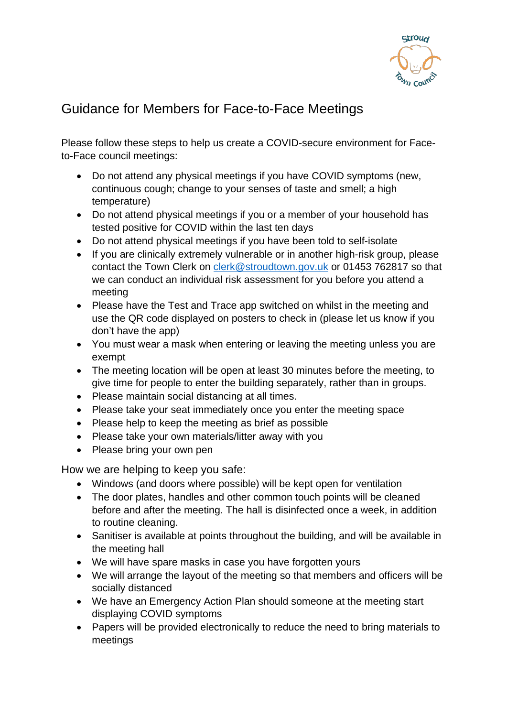

## Guidance for Members for Face-to-Face Meetings

Please follow these steps to help us create a COVID-secure environment for Faceto-Face council meetings:

- Do not attend any physical meetings if you have COVID symptoms (new, continuous cough; change to your senses of taste and smell; a high temperature)
- Do not attend physical meetings if you or a member of your household has tested positive for COVID within the last ten days
- Do not attend physical meetings if you have been told to self-isolate
- If you are clinically extremely vulnerable or in another high-risk group, please contact the Town Clerk on [clerk@stroudtown.gov.uk](mailto:clerk@stroudtown.gov.uk) or 01453 762817 so that we can conduct an individual risk assessment for you before you attend a meeting
- Please have the Test and Trace app switched on whilst in the meeting and use the QR code displayed on posters to check in (please let us know if you don't have the app)
- You must wear a mask when entering or leaving the meeting unless you are exempt
- The meeting location will be open at least 30 minutes before the meeting, to give time for people to enter the building separately, rather than in groups.
- Please maintain social distancing at all times.
- Please take your seat immediately once you enter the meeting space
- Please help to keep the meeting as brief as possible
- Please take your own materials/litter away with you
- Please bring your own pen

How we are helping to keep you safe:

- Windows (and doors where possible) will be kept open for ventilation
- The door plates, handles and other common touch points will be cleaned before and after the meeting. The hall is disinfected once a week, in addition to routine cleaning.
- Sanitiser is available at points throughout the building, and will be available in the meeting hall
- We will have spare masks in case you have forgotten yours
- We will arrange the layout of the meeting so that members and officers will be socially distanced
- We have an Emergency Action Plan should someone at the meeting start displaying COVID symptoms
- Papers will be provided electronically to reduce the need to bring materials to meetings